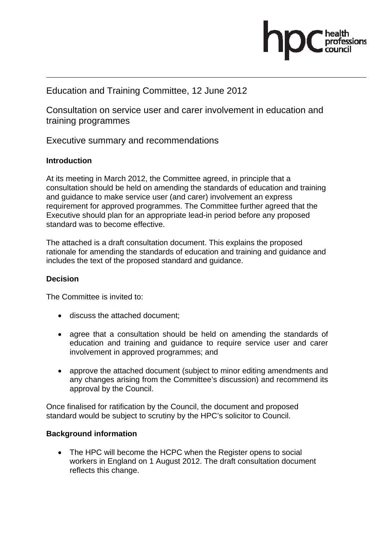

# Education and Training Committee, 12 June 2012

Consultation on service user and carer involvement in education and training programmes

Executive summary and recommendations

#### **Introduction**

At its meeting in March 2012, the Committee agreed, in principle that a consultation should be held on amending the standards of education and training and guidance to make service user (and carer) involvement an express requirement for approved programmes. The Committee further agreed that the Executive should plan for an appropriate lead-in period before any proposed standard was to become effective.

The attached is a draft consultation document. This explains the proposed rationale for amending the standards of education and training and guidance and includes the text of the proposed standard and guidance.

#### **Decision**

The Committee is invited to:

- discuss the attached document;
- agree that a consultation should be held on amending the standards of education and training and guidance to require service user and carer involvement in approved programmes; and
- approve the attached document (subject to minor editing amendments and any changes arising from the Committee's discussion) and recommend its approval by the Council.

Once finalised for ratification by the Council, the document and proposed standard would be subject to scrutiny by the HPC's solicitor to Council.

#### **Background information**

• The HPC will become the HCPC when the Register opens to social workers in England on 1 August 2012. The draft consultation document reflects this change.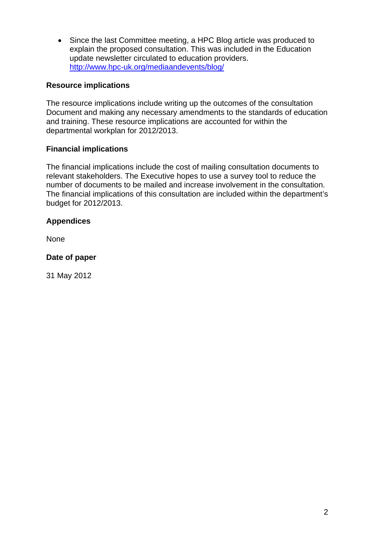• Since the last Committee meeting, a HPC Blog article was produced to explain the proposed consultation. This was included in the Education update newsletter circulated to education providers. http://www.hpc-uk.org/mediaandevents/blog/

### **Resource implications**

The resource implications include writing up the outcomes of the consultation Document and making any necessary amendments to the standards of education and training. These resource implications are accounted for within the departmental workplan for 2012/2013.

#### **Financial implications**

The financial implications include the cost of mailing consultation documents to relevant stakeholders. The Executive hopes to use a survey tool to reduce the number of documents to be mailed and increase involvement in the consultation. The financial implications of this consultation are included within the department's budget for 2012/2013.

#### **Appendices**

None

#### **Date of paper**

31 May 2012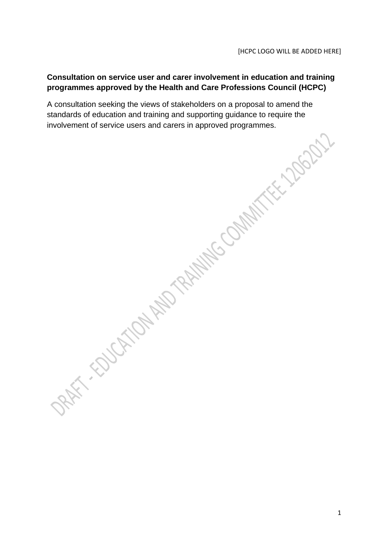# **Consultation on service user and carer involvement in education and training programmes approved by the Health and Care Professions Council (HCPC)**

A consultation seeking the views of stakeholders on a proposal to amend the standards of education and training and supporting guidance to require the involvement of service users and carers in approved programmes.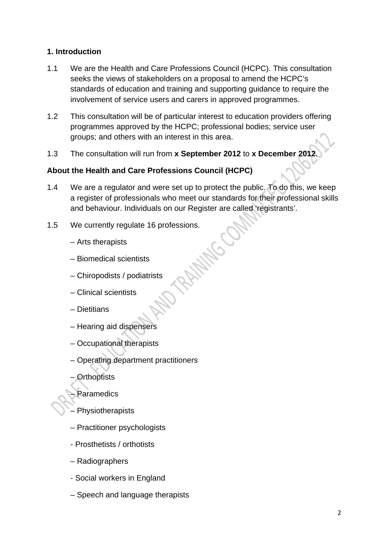# **1. Introduction**

- 1.1 We are the Health and Care Professions Council (HCPC). This consultation seeks the views of stakeholders on a proposal to amend the HCPC's standards of education and training and supporting guidance to require the involvement of service users and carers in approved programmes.
- 1.2 This consultation will be of particular interest to education providers offering programmes approved by the HCPC; professional bodies; service user groups; and others with an interest in this area.
- 1.3 The consultation will run from **x September 2012** to **x December 2012**.

# **About the Health and Care Professions Council (HCPC)**

- 1.4 We are a regulator and were set up to protect the public. To do this, we keep a register of professionals who meet our standards for their professional skills and behaviour. Individuals on our Register are called 'registrants'.
- 1.5 We currently regulate 16 professions.<br>
Arts therapists<br>
Biomedical scientists<br>
Chirch
	- Arts therapists
	- Biomedical scientists
	- Chiropodists / podiatrists
	- Clinical scientists
	- Dietitians
	- Hearing aid dispensers
	- Occupational therapists
	- Operating department practitioners
	- Orthoptists
	- **Paramedics**
	- **Physiotherapists**
	- Practitioner psychologists
	- Prosthetists / orthotists
	- Radiographers
	- Social workers in England
	- Speech and language therapists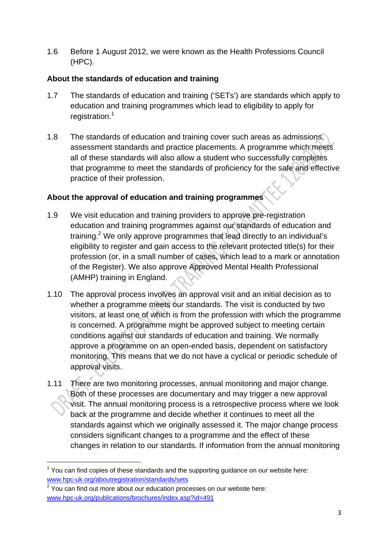1.6 Before 1 August 2012, we were known as the Health Professions Council (HPC).

# **About the standards of education and training**

- 1.7 The standards of education and training ('SETs') are standards which apply to education and training programmes which lead to eligibility to apply for registration.<sup>1</sup>
- 1.8 The standards of education and training cover such areas as admissions, assessment standards and practice placements. A programme which meets all of these standards will also allow a student who successfully completes that programme to meet the standards of proficiency for the safe and effective practice of their profession.

# **About the approval of education and training programmes**

- 1.9 We visit education and training providers to approve pre-registration education and training programmes against our standards of education and training.<sup>2</sup> We only approve programmes that lead directly to an individual's eligibility to register and gain access to the relevant protected title(s) for their profession (or, in a small number of cases, which lead to a mark or annotation of the Register). We also approve Approved Mental Health Professional (AMHP) training in England.
- 1.10 The approval process involves an approval visit and an initial decision as to whether a programme meets our standards. The visit is conducted by two visitors, at least one of which is from the profession with which the programme is concerned. A programme might be approved subject to meeting certain conditions against our standards of education and training. We normally approve a programme on an open-ended basis, dependent on satisfactory monitoring. This means that we do not have a cyclical or periodic schedule of approval visits.
- 1.11 There are two monitoring processes, annual monitoring and major change. Both of these processes are documentary and may trigger a new approval visit. The annual monitoring process is a retrospective process where we look back at the programme and decide whether it continues to meet all the standards against which we originally assessed it. The major change process considers significant changes to a programme and the effect of these changes in relation to our standards. If information from the annual monitoring

 $2$  You can find out more about our education processes on our website here: www.hpc-uk.org/publications/brochures/index.asp?id=491

 $1$  You can find copies of these standards and the supporting guidance on our website here: www.hpc-uk.org/aboutregistration/standards/sets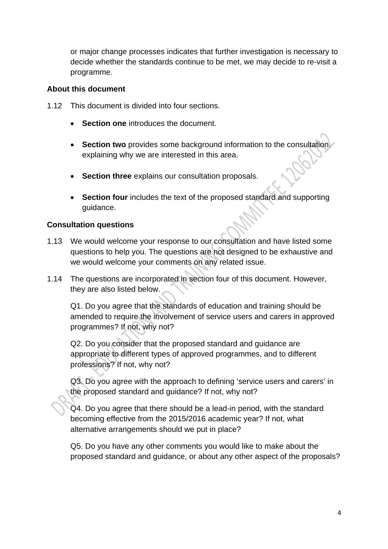or major change processes indicates that further investigation is necessary to decide whether the standards continue to be met, we may decide to re-visit a programme.

#### **About this document**

- 1.12 This document is divided into four sections.
	- **Section one** introduces the document.
	- **Section two** provides some background information to the consultation, explaining why we are interested in this area.
	- **Section three** explains our consultation proposals.
	- **Section four** includes the text of the proposed standard and supporting guidance.

### **Consultation questions**

- 1.13 We would welcome your response to our consultation and have listed some questions to help you. The questions are not designed to be exhaustive and we would welcome your comments on any related issue.
- 1.14 The questions are incorporated in section four of this document. However, they are also listed below.

Q1. Do you agree that the standards of education and training should be amended to require the involvement of service users and carers in approved programmes? If not, why not?

Q2. Do you consider that the proposed standard and guidance are appropriate to different types of approved programmes, and to different professions? If not, why not?

Q3. Do you agree with the approach to defining 'service users and carers' in the proposed standard and guidance? If not, why not?

Q4. Do you agree that there should be a lead-in period, with the standard becoming effective from the 2015/2016 academic year? If not, what alternative arrangements should we put in place?

Q5. Do you have any other comments you would like to make about the proposed standard and guidance, or about any other aspect of the proposals?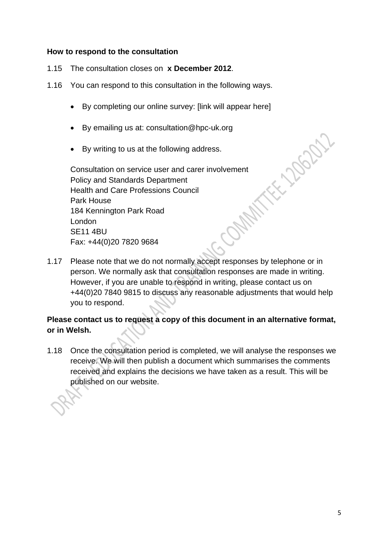#### **How to respond to the consultation**

- 1.15 The consultation closes on **x December 2012**.
- 1.16 You can respond to this consultation in the following ways.
	- By completing our online survey: [link will appear here]
	- By emailing us at: consultation@hpc-uk.org
	- By writing to us at the following address.

Consultation on service user and carer involvement Policy and Standards Department Health and Care Professions Council ORANT Park House 184 Kennington Park Road London SE11 4BU Fax: +44(0)20 7820 9684

1.17 Please note that we do not normally accept responses by telephone or in person. We normally ask that consultation responses are made in writing. However, if you are unable to respond in writing, please contact us on +44(0)20 7840 9815 to discuss any reasonable adjustments that would help you to respond.

# **Please contact us to request a copy of this document in an alternative format, or in Welsh.**

1.18 Once the consultation period is completed, we will analyse the responses we receive. We will then publish a document which summarises the comments received and explains the decisions we have taken as a result. This will be published on our website.

**FELLIDORY**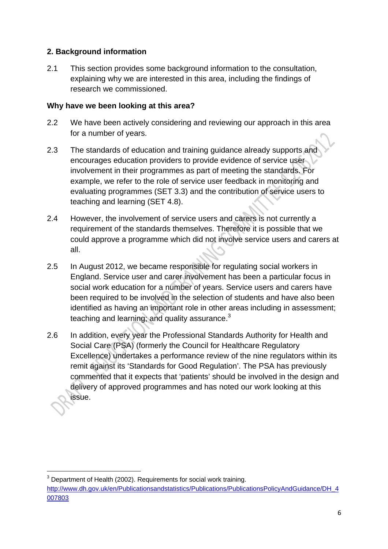# **2. Background information**

2.1 This section provides some background information to the consultation. explaining why we are interested in this area, including the findings of research we commissioned.

## **Why have we been looking at this area?**

- 2.2 We have been actively considering and reviewing our approach in this area for a number of years.
- 2.3 The standards of education and training guidance already supports and encourages education providers to provide evidence of service user involvement in their programmes as part of meeting the standards. For example, we refer to the role of service user feedback in monitoring and evaluating programmes (SET 3.3) and the contribution of service users to teaching and learning (SET 4.8).
- 2.4 However, the involvement of service users and carers is not currently a requirement of the standards themselves. Therefore it is possible that we could approve a programme which did not involve service users and carers at all.
- 2.5 In August 2012, we became responsible for regulating social workers in England. Service user and carer involvement has been a particular focus in social work education for a number of years. Service users and carers have been required to be involved in the selection of students and have also been identified as having an important role in other areas including in assessment; teaching and learning; and quality assurance.<sup>3</sup>
- 2.6 In addition, every year the Professional Standards Authority for Health and Social Care (PSA) (formerly the Council for Healthcare Regulatory Excellence) undertakes a performance review of the nine regulators within its remit against its 'Standards for Good Regulation'. The PSA has previously commented that it expects that 'patients' should be involved in the design and delivery of approved programmes and has noted our work looking at this issue.

 $3$  Department of Health (2002). Requirements for social work training. http://www.dh.gov.uk/en/Publicationsandstatistics/Publications/PublicationsPolicyAndGuidance/DH\_4 007803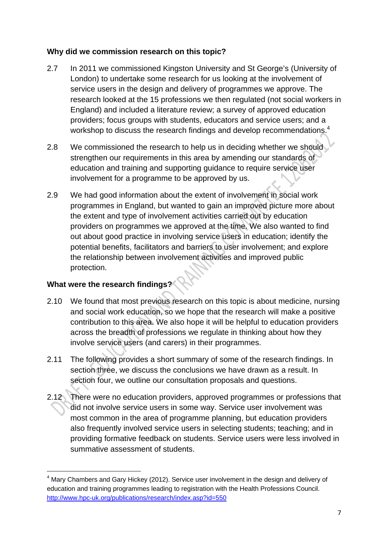### **Why did we commission research on this topic?**

- 2.7 In 2011 we commissioned Kingston University and St George's (University of London) to undertake some research for us looking at the involvement of service users in the design and delivery of programmes we approve. The research looked at the 15 professions we then regulated (not social workers in England) and included a literature review; a survey of approved education providers; focus groups with students, educators and service users; and a workshop to discuss the research findings and develop recommendations.<sup>4</sup>
- 2.8 We commissioned the research to help us in deciding whether we should strengthen our requirements in this area by amending our standards of education and training and supporting guidance to require service user involvement for a programme to be approved by us.
- 2.9 We had good information about the extent of involvement in social work programmes in England, but wanted to gain an improved picture more about the extent and type of involvement activities carried out by education providers on programmes we approved at the time. We also wanted to find out about good practice in involving service users in education; identify the potential benefits, facilitators and barriers to user involvement; and explore the relationship between involvement activities and improved public protection.

# **What were the research findings?**

- 2.10 We found that most previous research on this topic is about medicine, nursing and social work education, so we hope that the research will make a positive contribution to this area. We also hope it will be helpful to education providers across the breadth of professions we regulate in thinking about how they involve service users (and carers) in their programmes.
- 2.11 The following provides a short summary of some of the research findings. In section three, we discuss the conclusions we have drawn as a result. In section four, we outline our consultation proposals and questions.
- 2.12 There were no education providers, approved programmes or professions that did not involve service users in some way. Service user involvement was most common in the area of programme planning, but education providers also frequently involved service users in selecting students; teaching; and in providing formative feedback on students. Service users were less involved in summative assessment of students.

 $<sup>4</sup>$  Mary Chambers and Gary Hickey (2012). Service user involvement in the design and delivery of</sup> education and training programmes leading to registration with the Health Professions Council. http://www.hpc-uk.org/publications/research/index.asp?id=550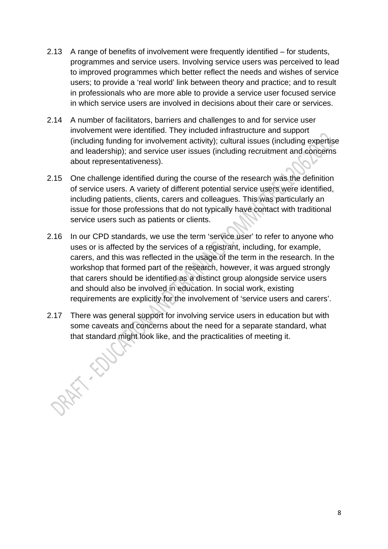- 2.13 A range of benefits of involvement were frequently identified for students, programmes and service users. Involving service users was perceived to lead to improved programmes which better reflect the needs and wishes of service users; to provide a 'real world' link between theory and practice; and to result in professionals who are more able to provide a service user focused service in which service users are involved in decisions about their care or services.
- 2.14 A number of facilitators, barriers and challenges to and for service user involvement were identified. They included infrastructure and support (including funding for involvement activity); cultural issues (including expertise and leadership); and service user issues (including recruitment and concerns about representativeness).
- 2.15 One challenge identified during the course of the research was the definition of service users. A variety of different potential service users were identified, including patients, clients, carers and colleagues. This was particularly an issue for those professions that do not typically have contact with traditional service users such as patients or clients.
- 2.16 In our CPD standards, we use the term 'service user' to refer to anyone who uses or is affected by the services of a registrant, including, for example, carers, and this was reflected in the usage of the term in the research. In the workshop that formed part of the research, however, it was argued strongly that carers should be identified as a distinct group alongside service users and should also be involved in education. In social work, existing requirements are explicitly for the involvement of 'service users and carers'.
- 2.17 There was general support for involving service users in education but with some caveats and concerns about the need for a separate standard, what that standard might look like, and the practicalities of meeting it.

8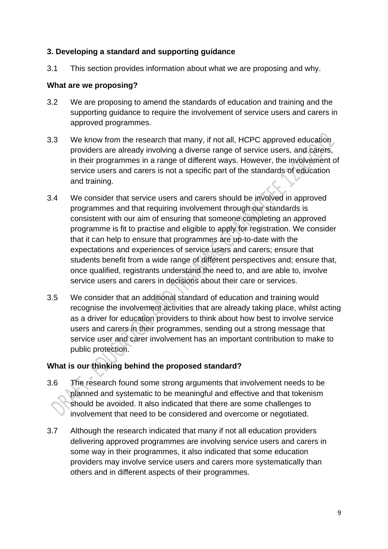### **3. Developing a standard and supporting guidance**

3.1 This section provides information about what we are proposing and why.

#### **What are we proposing?**

- 3.2 We are proposing to amend the standards of education and training and the supporting guidance to require the involvement of service users and carers in approved programmes.
- 3.3 We know from the research that many, if not all, HCPC approved education providers are already involving a diverse range of service users, and carers, in their programmes in a range of different ways. However, the involvement of service users and carers is not a specific part of the standards of education and training.
- 3.4 We consider that service users and carers should be involved in approved programmes and that requiring involvement through our standards is consistent with our aim of ensuring that someone completing an approved programme is fit to practise and eligible to apply for registration. We consider that it can help to ensure that programmes are up-to-date with the expectations and experiences of service users and carers; ensure that students benefit from a wide range of different perspectives and; ensure that, once qualified, registrants understand the need to, and are able to, involve service users and carers in decisions about their care or services.
- 3.5 We consider that an additional standard of education and training would recognise the involvement activities that are already taking place, whilst acting as a driver for education providers to think about how best to involve service users and carers in their programmes, sending out a strong message that service user and carer involvement has an important contribution to make to public protection.

### **What is our thinking behind the proposed standard?**

- 3.6 The research found some strong arguments that involvement needs to be planned and systematic to be meaningful and effective and that tokenism should be avoided. It also indicated that there are some challenges to involvement that need to be considered and overcome or negotiated.
- 3.7 Although the research indicated that many if not all education providers delivering approved programmes are involving service users and carers in some way in their programmes, it also indicated that some education providers may involve service users and carers more systematically than others and in different aspects of their programmes.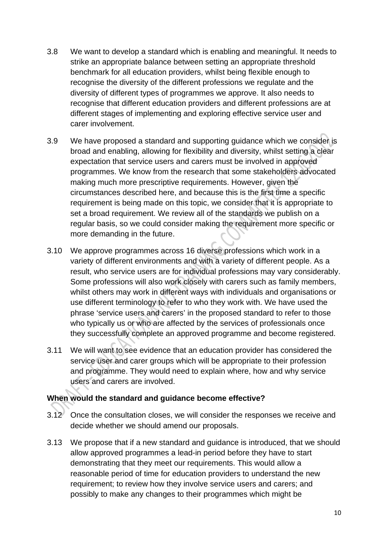- 3.8 We want to develop a standard which is enabling and meaningful. It needs to strike an appropriate balance between setting an appropriate threshold benchmark for all education providers, whilst being flexible enough to recognise the diversity of the different professions we regulate and the diversity of different types of programmes we approve. It also needs to recognise that different education providers and different professions are at different stages of implementing and exploring effective service user and carer involvement.
- 3.9 We have proposed a standard and supporting guidance which we consider is broad and enabling, allowing for flexibility and diversity, whilst setting a clear expectation that service users and carers must be involved in approved programmes. We know from the research that some stakeholders advocated making much more prescriptive requirements. However, given the circumstances described here, and because this is the first time a specific requirement is being made on this topic, we consider that it is appropriate to set a broad requirement. We review all of the standards we publish on a regular basis, so we could consider making the requirement more specific or more demanding in the future.
- 3.10 We approve programmes across 16 diverse professions which work in a variety of different environments and with a variety of different people. As a result, who service users are for individual professions may vary considerably. Some professions will also work closely with carers such as family members, whilst others may work in different ways with individuals and organisations or use different terminology to refer to who they work with. We have used the phrase 'service users and carers' in the proposed standard to refer to those who typically us or who are affected by the services of professionals once they successfully complete an approved programme and become registered.
- 3.11 We will want to see evidence that an education provider has considered the service user and carer groups which will be appropriate to their profession and programme. They would need to explain where, how and why service users and carers are involved.

### **When would the standard and guidance become effective?**

- 3.12 Once the consultation closes, we will consider the responses we receive and decide whether we should amend our proposals.
- 3.13 We propose that if a new standard and guidance is introduced, that we should allow approved programmes a lead-in period before they have to start demonstrating that they meet our requirements. This would allow a reasonable period of time for education providers to understand the new requirement; to review how they involve service users and carers; and possibly to make any changes to their programmes which might be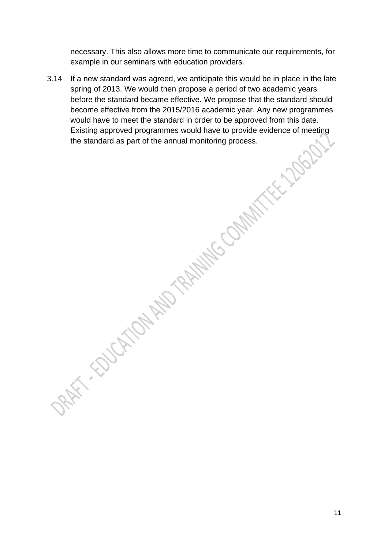necessary. This also allows more time to communicate our requirements, for example in our seminars with education providers.

3.14 If a new standard was agreed, we anticipate this would be in place in the late spring of 2013. We would then propose a period of two academic years before the standard became effective. We propose that the standard should become effective from the 2015/2016 academic year. Any new programmes would have to meet the standard in order to be approved from this date. Existing approved programmes would have to provide evidence of meeting the standard as part of the annual monitoring process.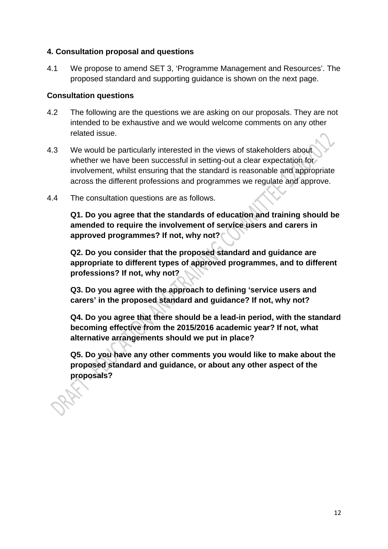### **4. Consultation proposal and questions**

4.1 We propose to amend SET 3, 'Programme Management and Resources'. The proposed standard and supporting guidance is shown on the next page.

### **Consultation questions**

- 4.2 The following are the questions we are asking on our proposals. They are not intended to be exhaustive and we would welcome comments on any other related issue.
- 4.3 We would be particularly interested in the views of stakeholders about whether we have been successful in setting-out a clear expectation for involvement, whilst ensuring that the standard is reasonable and appropriate across the different professions and programmes we regulate and approve.
- 4.4 The consultation questions are as follows.

**Q1. Do you agree that the standards of education and training should be amended to require the involvement of service users and carers in approved programmes? If not, why not?** 

**Q2. Do you consider that the proposed standard and guidance are appropriate to different types of approved programmes, and to different professions? If not, why not?** 

**Q3. Do you agree with the approach to defining 'service users and carers' in the proposed standard and guidance? If not, why not?** 

**Q4. Do you agree that there should be a lead-in period, with the standard becoming effective from the 2015/2016 academic year? If not, what alternative arrangements should we put in place?** 

**Q5. Do you have any other comments you would like to make about the proposed standard and guidance, or about any other aspect of the proposals?**